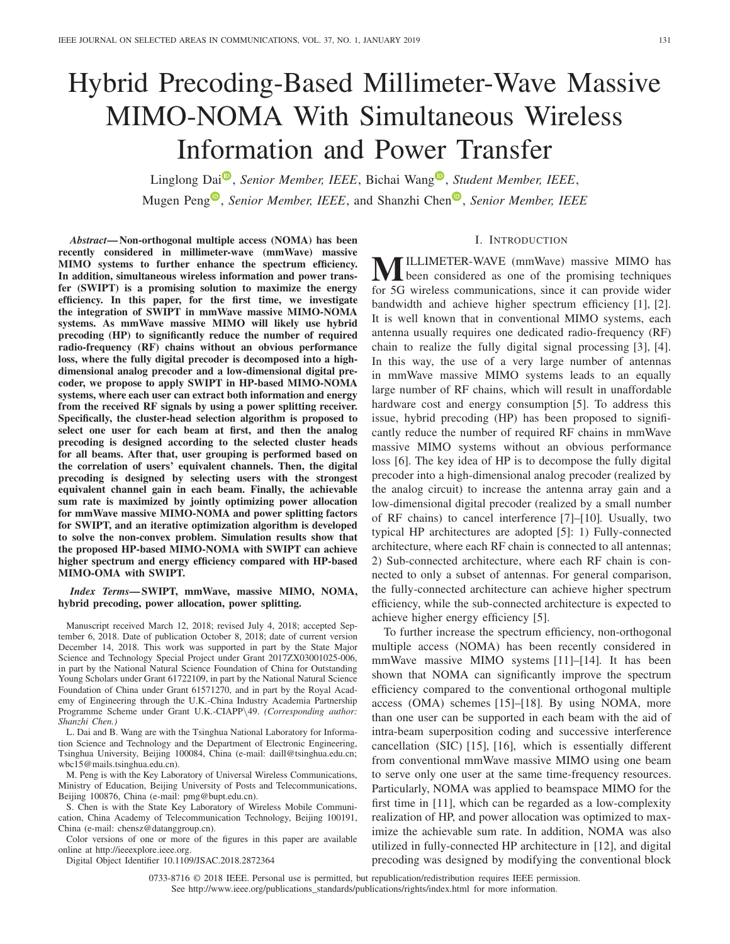# Hybrid Precoding-Based Millimeter-Wave Massive MIMO-NOMA With Simultaneous Wireless Information and Power Transfer

L[i](https://orcid.org/0000-0002-4250-7315)nglong Dai<sup>O</sup>, *Senior Member, IEEE*, Bichai Wang<sup>O</sup>, *Student Member, IEEE*, Mu[g](https://orcid.org/0000-0002-4755-7231)e[n](https://orcid.org/0000-0002-5409-8168) Peng<sup><sup>®</sup>, *Senior Member, IEEE*, and Shanzhi Chen<sup>®</sup>, *Senior Member, IEEE*</sup>

### I. INTRODUCTION

*Abstract***— Non-orthogonal multiple access (NOMA) has been recently considered in millimeter-wave (mmWave) massive MIMO systems to further enhance the spectrum efficiency. In addition, simultaneous wireless information and power transfer (SWIPT) is a promising solution to maximize the energy efficiency. In this paper, for the first time, we investigate the integration of SWIPT in mmWave massive MIMO-NOMA systems. As mmWave massive MIMO will likely use hybrid precoding (HP) to significantly reduce the number of required radio-frequency (RF) chains without an obvious performance loss, where the fully digital precoder is decomposed into a highdimensional analog precoder and a low-dimensional digital precoder, we propose to apply SWIPT in HP-based MIMO-NOMA systems, where each user can extract both information and energy from the received RF signals by using a power splitting receiver. Specifically, the cluster-head selection algorithm is proposed to select one user for each beam at first, and then the analog precoding is designed according to the selected cluster heads for all beams. After that, user grouping is performed based on the correlation of users' equivalent channels. Then, the digital precoding is designed by selecting users with the strongest equivalent channel gain in each beam. Finally, the achievable sum rate is maximized by jointly optimizing power allocation for mmWave massive MIMO-NOMA and power splitting factors for SWIPT, and an iterative optimization algorithm is developed to solve the non-convex problem. Simulation results show that the proposed HP-based MIMO-NOMA with SWIPT can achieve higher spectrum and energy efficiency compared with HP-based MIMO-OMA with SWIPT.**

*Index Terms***— SWIPT, mmWave, massive MIMO, NOMA, hybrid precoding, power allocation, power splitting.**

Manuscript received March 12, 2018; revised July 4, 2018; accepted September 6, 2018. Date of publication October 8, 2018; date of current version December 14, 2018. This work was supported in part by the State Major Science and Technology Special Project under Grant 2017ZX03001025-006, in part by the National Natural Science Foundation of China for Outstanding Young Scholars under Grant 61722109, in part by the National Natural Science Foundation of China under Grant 61571270, and in part by the Royal Academy of Engineering through the U.K.-China Industry Academia Partnership Programme Scheme under Grant U.K.-CIAPP*\*49. *(Corresponding author: Shanzhi Chen.)*

L. Dai and B. Wang are with the Tsinghua National Laboratory for Information Science and Technology and the Department of Electronic Engineering, Tsinghua University, Beijing 100084, China (e-mail: daill@tsinghua.edu.cn; wbc15@mails.tsinghua.edu.cn).

M. Peng is with the Key Laboratory of Universal Wireless Communications, Ministry of Education, Beijing University of Posts and Telecommunications, Beijing 100876, China (e-mail: pmg@bupt.edu.cn).

S. Chen is with the State Key Laboratory of Wireless Mobile Communication, China Academy of Telecommunication Technology, Beijing 100191, China (e-mail: chensz@datanggroup.cn).

Color versions of one or more of the figures in this paper are available online at http://ieeexplore.ieee.org.

Digital Object Identifier 10.1109/JSAC.2018.2872364

**M**ILLIMETER-WAVE (mmWave) massive MIMO has been considered as one of the promising techniques for 5G wireless communications, since it can provide wider bandwidth and achieve higher spectrum efficiency [1], [2]. It is well known that in conventional MIMO systems, each antenna usually requires one dedicated radio-frequency (RF) chain to realize the fully digital signal processing [3], [4]. In this way, the use of a very large number of antennas in mmWave massive MIMO systems leads to an equally large number of RF chains, which will result in unaffordable hardware cost and energy consumption [5]. To address this issue, hybrid precoding (HP) has been proposed to significantly reduce the number of required RF chains in mmWave massive MIMO systems without an obvious performance loss [6]. The key idea of HP is to decompose the fully digital precoder into a high-dimensional analog precoder (realized by the analog circuit) to increase the antenna array gain and a low-dimensional digital precoder (realized by a small number of RF chains) to cancel interference [7]–[10]. Usually, two typical HP architectures are adopted [5]: 1) Fully-connected architecture, where each RF chain is connected to all antennas; 2) Sub-connected architecture, where each RF chain is connected to only a subset of antennas. For general comparison, the fully-connected architecture can achieve higher spectrum efficiency, while the sub-connected architecture is expected to

To further increase the spectrum efficiency, non-orthogonal multiple access (NOMA) has been recently considered in mmWave massive MIMO systems [11]–[14]. It has been shown that NOMA can significantly improve the spectrum efficiency compared to the conventional orthogonal multiple access (OMA) schemes [15]–[18]. By using NOMA, more than one user can be supported in each beam with the aid of intra-beam superposition coding and successive interference cancellation (SIC) [15], [16], which is essentially different from conventional mmWave massive MIMO using one beam to serve only one user at the same time-frequency resources. Particularly, NOMA was applied to beamspace MIMO for the first time in [11], which can be regarded as a low-complexity realization of HP, and power allocation was optimized to maximize the achievable sum rate. In addition, NOMA was also utilized in fully-connected HP architecture in [12], and digital precoding was designed by modifying the conventional block

achieve higher energy efficiency [5].

0733-8716 © 2018 IEEE. Personal use is permitted, but republication/redistribution requires IEEE permission. See http://www.ieee.org/publications\_standards/publications/rights/index.html for more information.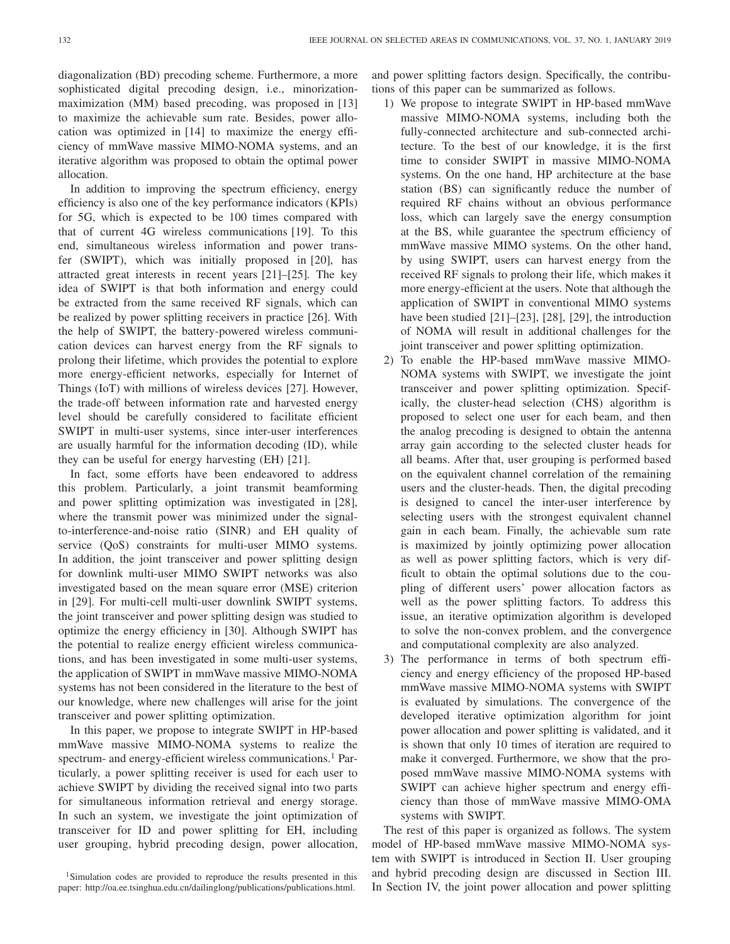diagonalization (BD) precoding scheme. Furthermore, a more sophisticated digital precoding design, i.e., minorizationmaximization (MM) based precoding, was proposed in [13] to maximize the achievable sum rate. Besides, power allocation was optimized in [14] to maximize the energy efficiency of mmWave massive MIMO-NOMA systems, and an iterative algorithm was proposed to obtain the optimal power allocation.

In addition to improving the spectrum efficiency, energy efficiency is also one of the key performance indicators (KPIs) for 5G, which is expected to be 100 times compared with that of current 4G wireless communications [19]. To this end, simultaneous wireless information and power transfer (SWIPT), which was initially proposed in [20], has attracted great interests in recent years [21]–[25]. The key idea of SWIPT is that both information and energy could be extracted from the same received RF signals, which can be realized by power splitting receivers in practice [26]. With the help of SWIPT, the battery-powered wireless communication devices can harvest energy from the RF signals to prolong their lifetime, which provides the potential to explore more energy-efficient networks, especially for Internet of Things (IoT) with millions of wireless devices [27]. However, the trade-off between information rate and harvested energy level should be carefully considered to facilitate efficient SWIPT in multi-user systems, since inter-user interferences are usually harmful for the information decoding (ID), while they can be useful for energy harvesting (EH) [21].

In fact, some efforts have been endeavored to address this problem. Particularly, a joint transmit beamforming and power splitting optimization was investigated in [28], where the transmit power was minimized under the signalto-interference-and-noise ratio (SINR) and EH quality of service (QoS) constraints for multi-user MIMO systems. In addition, the joint transceiver and power splitting design for downlink multi-user MIMO SWIPT networks was also investigated based on the mean square error (MSE) criterion in [29]. For multi-cell multi-user downlink SWIPT systems, the joint transceiver and power splitting design was studied to optimize the energy efficiency in [30]. Although SWIPT has the potential to realize energy efficient wireless communications, and has been investigated in some multi-user systems, the application of SWIPT in mmWave massive MIMO-NOMA systems has not been considered in the literature to the best of our knowledge, where new challenges will arise for the joint transceiver and power splitting optimization.

In this paper, we propose to integrate SWIPT in HP-based mmWave massive MIMO-NOMA systems to realize the spectrum- and energy-efficient wireless communications.<sup>1</sup> Particularly, a power splitting receiver is used for each user to achieve SWIPT by dividing the received signal into two parts for simultaneous information retrieval and energy storage. In such an system, we investigate the joint optimization of transceiver for ID and power splitting for EH, including user grouping, hybrid precoding design, power allocation, and power splitting factors design. Specifically, the contributions of this paper can be summarized as follows.

- 1) We propose to integrate SWIPT in HP-based mmWave massive MIMO-NOMA systems, including both the fully-connected architecture and sub-connected architecture. To the best of our knowledge, it is the first time to consider SWIPT in massive MIMO-NOMA systems. On the one hand, HP architecture at the base station (BS) can significantly reduce the number of required RF chains without an obvious performance loss, which can largely save the energy consumption at the BS, while guarantee the spectrum efficiency of mmWave massive MIMO systems. On the other hand, by using SWIPT, users can harvest energy from the received RF signals to prolong their life, which makes it more energy-efficient at the users. Note that although the application of SWIPT in conventional MIMO systems have been studied [21]–[23], [28], [29], the introduction of NOMA will result in additional challenges for the joint transceiver and power splitting optimization.
- 2) To enable the HP-based mmWave massive MIMO-NOMA systems with SWIPT, we investigate the joint transceiver and power splitting optimization. Specifically, the cluster-head selection (CHS) algorithm is proposed to select one user for each beam, and then the analog precoding is designed to obtain the antenna array gain according to the selected cluster heads for all beams. After that, user grouping is performed based on the equivalent channel correlation of the remaining users and the cluster-heads. Then, the digital precoding is designed to cancel the inter-user interference by selecting users with the strongest equivalent channel gain in each beam. Finally, the achievable sum rate is maximized by jointly optimizing power allocation as well as power splitting factors, which is very difficult to obtain the optimal solutions due to the coupling of different users' power allocation factors as well as the power splitting factors. To address this issue, an iterative optimization algorithm is developed to solve the non-convex problem, and the convergence and computational complexity are also analyzed.
- 3) The performance in terms of both spectrum efficiency and energy efficiency of the proposed HP-based mmWave massive MIMO-NOMA systems with SWIPT is evaluated by simulations. The convergence of the developed iterative optimization algorithm for joint power allocation and power splitting is validated, and it is shown that only 10 times of iteration are required to make it converged. Furthermore, we show that the proposed mmWave massive MIMO-NOMA systems with SWIPT can achieve higher spectrum and energy efficiency than those of mmWave massive MIMO-OMA systems with SWIPT.

The rest of this paper is organized as follows. The system model of HP-based mmWave massive MIMO-NOMA system with SWIPT is introduced in Section II. User grouping and hybrid precoding design are discussed in Section III. In Section IV, the joint power allocation and power splitting

<sup>&</sup>lt;sup>1</sup>Simulation codes are provided to reproduce the results presented in this paper: http://oa.ee.tsinghua.edu.cn/dailinglong/publications/publications.html.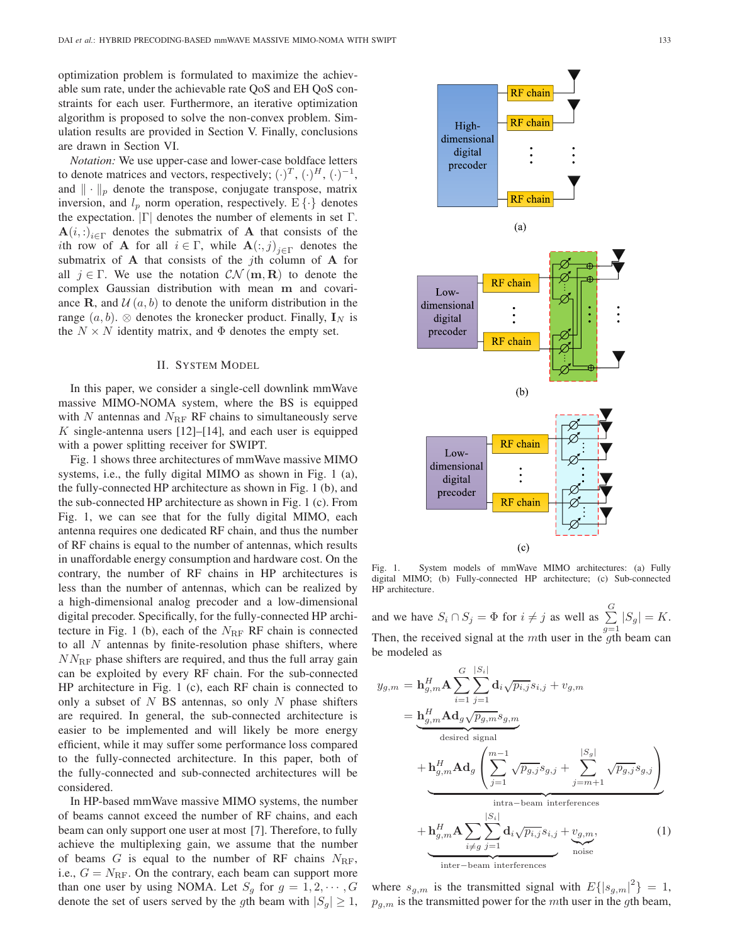optimization problem is formulated to maximize the achievable sum rate, under the achievable rate QoS and EH QoS constraints for each user. Furthermore, an iterative optimization algorithm is proposed to solve the non-convex problem. Simulation results are provided in Section V. Finally, conclusions are drawn in Section VI.

*Notation:* We use upper-case and lower-case boldface letters to denote matrices and vectors, respectively;  $(\cdot)^T$ ,  $(\cdot)^H$ ,  $(\cdot)^{-1}$ , and  $\|\cdot\|_p$  denote the transpose, conjugate transpose, matrix inversion, and  $l_p$  norm operation, respectively.  $E\{\cdot\}$  denotes the expectation.  $|\Gamma|$  denotes the number of elements in set  $\Gamma$ .  $\mathbf{A}(i, \cdot)_{i \in \Gamma}$  denotes the submatrix of **A** that consists of the ith row of **A** for all  $i \in \Gamma$ , while  $\mathbf{A}(:,j)_{i \in \Gamma}$  denotes the submatrix of **A** that consists of the jth column of **A** for all  $j \in \Gamma$ . We use the notation  $CN(m, R)$  to denote the complex Gaussian distribution with mean **m** and covariance **R**, and  $\mathcal{U}(a, b)$  to denote the uniform distribution in the range  $(a, b)$ . ⊗ denotes the kronecker product. Finally,  $\mathbf{I}_N$  is the  $N \times N$  identity matrix, and  $\Phi$  denotes the empty set.

#### II. SYSTEM MODEL

In this paper, we consider a single-cell downlink mmWave massive MIMO-NOMA system, where the BS is equipped with  $N$  antennas and  $N_{\text{RF}}$  RF chains to simultaneously serve  $K$  single-antenna users [12]–[14], and each user is equipped with a power splitting receiver for SWIPT.

Fig. 1 shows three architectures of mmWave massive MIMO systems, i.e., the fully digital MIMO as shown in Fig. 1 (a), the fully-connected HP architecture as shown in Fig. 1 (b), and the sub-connected HP architecture as shown in Fig. 1 (c). From Fig. 1, we can see that for the fully digital MIMO, each antenna requires one dedicated RF chain, and thus the number of RF chains is equal to the number of antennas, which results in unaffordable energy consumption and hardware cost. On the contrary, the number of RF chains in HP architectures is less than the number of antennas, which can be realized by a high-dimensional analog precoder and a low-dimensional digital precoder. Specifically, for the fully-connected HP architecture in Fig. 1 (b), each of the  $N_{\text{RF}}$  RF chain is connected to all  $N$  antennas by finite-resolution phase shifters, where  $NN_{\text{RF}}$  phase shifters are required, and thus the full array gain can be exploited by every RF chain. For the sub-connected HP architecture in Fig. 1 (c), each RF chain is connected to only a subset of  $N$  BS antennas, so only  $N$  phase shifters are required. In general, the sub-connected architecture is easier to be implemented and will likely be more energy efficient, while it may suffer some performance loss compared to the fully-connected architecture. In this paper, both of the fully-connected and sub-connected architectures will be considered.

In HP-based mmWave massive MIMO systems, the number of beams cannot exceed the number of RF chains, and each beam can only support one user at most [7]. Therefore, to fully achieve the multiplexing gain, we assume that the number of beams  $G$  is equal to the number of RF chains  $N_{\text{RF}}$ , i.e.,  $G = N_{\text{RF}}$ . On the contrary, each beam can support more than one user by using NOMA. Let  $S_g$  for  $g = 1, 2, \dots, G$ denote the set of users served by the gth beam with  $|S_g| \geq 1$ ,



Fig. 1. System models of mmWave MIMO architectures: (a) Fully digital MIMO; (b) Fully-connected HP architecture; (c) Sub-connected HP architecture.

and we have  $S_i \cap S_j = \Phi$  for  $i \neq j$  as well as  $\sum^G$  $\sum_{g=1} |S_g| = K.$ Then, the received signal at the mth user in the qth beam can be modeled as

$$
y_{g,m} = \mathbf{h}_{g,m}^H \mathbf{A} \sum_{i=1}^G \sum_{j=1}^{|S_i|} \mathbf{d}_i \sqrt{p_{i,j}} s_{i,j} + v_{g,m}
$$
  
\n
$$
= \underbrace{\mathbf{h}_{g,m}^H \mathbf{A} \mathbf{d}_g \sqrt{p_{g,m}} s_{g,m}}_{\text{desired signal}}
$$
  
\n
$$
+ \mathbf{h}_{g,m}^H \mathbf{A} \mathbf{d}_g \left( \sum_{j=1}^{m-1} \sqrt{p_{g,j}} s_{g,j} + \sum_{j=m+1}^{|S_g|} \sqrt{p_{g,j}} s_{g,j} \right)
$$
  
\n
$$
+ \underbrace{\mathbf{h}_{g,m}^H \mathbf{A} \sum_{i \neq g} \sum_{j=1}^{|S_i|} \mathbf{d}_i \sqrt{p_{i,j}} s_{i,j} + v_{g,m}}_{\text{noise}},
$$
  
\n
$$
+ \underbrace{\mathbf{h}_{g,m}^H \mathbf{A} \sum_{i \neq g} \sum_{j=1}^{|S_i|} \mathbf{d}_i \sqrt{p_{i,j}} s_{i,j} + v_{g,m}}_{\text{noise}},
$$
  
\n(1)

where  $s_{g,m}$  is the transmitted signal with  $E\{|s_{g,m}|^2\}=1$ ,  $p_{g,m}$  is the transmitted power for the mth user in the gth beam,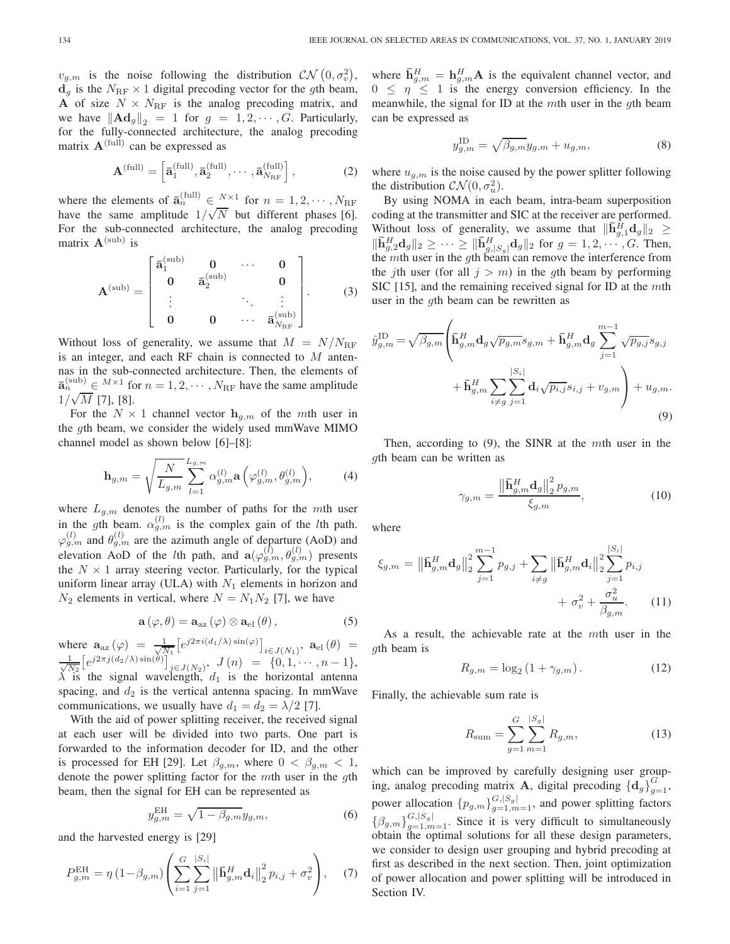$v_{g,m}$  is the noise following the distribution  $\mathcal{CN}\left(0,\sigma_v^2\right)$ ,  $d_g$  is the  $N_{\text{RF}} \times 1$  digital precoding vector for the gth beam, **A** of size  $N \times N_{\text{RF}}$  is the analog precoding matrix, and we have  $\|\mathbf{Ad}_g\|_2 = 1$  for  $g = 1, 2, \cdots, G$ . Particularly, for the fully-connected architecture, the analog precoding matrix  $\mathbf{A}^{\text{(full)}}$  can be expressed as

$$
\mathbf{A}^{(\text{full})} = \left[ \mathbf{\bar{a}}_1^{(\text{full})}, \mathbf{\bar{a}}_2^{(\text{full})}, \cdots, \mathbf{\bar{a}}_{N_{\text{RF}}}^{(\text{full})} \right],\tag{2}
$$

where the elements of  $\overline{\mathbf{a}}_n^{\text{(full)}} \in \frac{N \times 1}{N}$  for  $n = 1, 2, \cdots, N_{\text{RF}}$ have the same amplitude  $1/\sqrt{N}$  but different phases [6]. For the sub-connected architecture, the analog precoding matrix  $A^{(sub)}$  is

$$
\mathbf{A}^{(\text{sub})} = \begin{bmatrix} \bar{\mathbf{a}}_1^{(\text{sub})} & \mathbf{0} & \cdots & \mathbf{0} \\ \mathbf{0} & \bar{\mathbf{a}}_2^{(\text{sub})} & \mathbf{0} \\ \vdots & \ddots & \vdots \\ \mathbf{0} & \mathbf{0} & \cdots & \bar{\mathbf{a}}_{N_{\text{RF}}}^{(\text{sub})} \end{bmatrix} .
$$
 (3)

Without loss of generality, we assume that  $M = N/N_{\text{RF}}$ is an integer, and each RF chain is connected to  $M$  antennas in the sub-connected architecture. Then, the elements of  $\bar{\mathbf{a}}_n^{\text{(sub)}} \in M \times 1 \text{ for } n = 1, 2, \cdots, N_{\text{RF}}$  have the same amplitude  $1/\sqrt{M}$  [7], [8].

For the  $N \times 1$  channel vector  $\mathbf{h}_{g,m}$  of the mth user in the gth beam, we consider the widely used mmWave MIMO channel model as shown below [6]–[8]:

$$
\mathbf{h}_{g,m} = \sqrt{\frac{N}{L_{g,m}} \sum_{l=1}^{L_{g,m}} \alpha_{g,m}^{(l)} \mathbf{a}\left(\varphi_{g,m}^{(l)}, \theta_{g,m}^{(l)}\right)},\tag{4}
$$

where  $L_{g,m}$  denotes the number of paths for the mth user in the gth beam.  $\alpha_{g,m}^{(l)}$  is the complex gain of the *l*th path.  $\varphi_{g,m}^{(l)}$  and  $\theta_{g,m}^{(l)}$  are the azimuth angle of departure (AoD) and elevation AoD of the *l*th path, and  $a(\varphi_{g,m}^{(l)}, \theta_{g,m}^{(l)})$  presents the  $N \times 1$  array steering vector. Particularly, for the typical uniform linear array (ULA) with  $N_1$  elements in horizon and  $N_2$  elements in vertical, where  $N = N_1 N_2$  [7], we have

$$
\mathbf{a}(\varphi,\theta)=\mathbf{a}_{\text{az}}(\varphi)\otimes\mathbf{a}_{\text{el}}(\theta), \qquad (5)
$$

where  $\mathbf{a}_{\text{az}}(\varphi) = \frac{1}{\sqrt{N}}$  $\frac{1}{N_1} \left[ e^{j2\pi i (d_1/\lambda) \sin(\varphi)} \right]_{i \in J(N_1)}, \; \mathbf{a}_{\text{el}}(\theta) =$  $\frac{1}{2}$  $\frac{1}{N_2} \left[ e^{j2\pi j (d_2/\lambda) \sin(\theta)} \right]_{j \in J(N_2)}, \ J(n) = \{0, 1, \cdots, n-1\},$  $\lambda$  is the signal wavelength,  $d_1$  is the horizontal antenna spacing, and  $d_2$  is the vertical antenna spacing. In mmWave communications, we usually have  $d_1 = d_2 = \lambda/2$  [7].

With the aid of power splitting receiver, the received signal at each user will be divided into two parts. One part is forwarded to the information decoder for ID, and the other is processed for EH [29]. Let  $\beta_{q,m}$ , where  $0 < \beta_{q,m} < 1$ , denote the power splitting factor for the mth user in the gth beam, then the signal for EH can be represented as

$$
y_{g,m}^{\text{EH}} = \sqrt{1 - \beta_{g,m}} y_{g,m},\tag{6}
$$

and the harvested energy is [29]

$$
P_{g,m}^{\text{EH}} = \eta \left( 1 - \beta_{g,m} \right) \left( \sum_{i=1}^{G} \sum_{j=1}^{|S_i|} \left\| \bar{\mathbf{h}}_{g,m}^H \mathbf{d}_i \right\|_2^2 p_{i,j} + \sigma_v^2 \right), \quad (7)
$$

where  $\bar{\mathbf{h}}_{g,m}^H = \mathbf{h}_{g,m}^H \mathbf{A}$  is the equivalent channel vector, and  $0 \leq \eta \leq 1$  is the energy conversion efficiency. In the meanwhile, the signal for ID at the mth user in the  $q$ th beam can be expressed as

$$
y_{g,m}^{\text{ID}} = \sqrt{\beta_{g,m}} y_{g,m} + u_{g,m},\tag{8}
$$

where  $u_{q,m}$  is the noise caused by the power splitter following the distribution  $CN(0, \sigma_u^2)$ .

By using NOMA in each beam, intra-beam superposition coding at the transmitter and SIC at the receiver are performed. Without loss of generality, we assume that  $\|\bar{\mathbf{h}}_{g,1}^H \mathbf{d}_g\|_2 \geq$  $\|\bar{\mathbf{h}}_{g,2}^H\mathbf{d}_g\|_2 \geq \cdots \geq \|\bar{\mathbf{h}}_{g,1}^H\|_2^2$  $\frac{H}{g,|S_g|}\mathbf{d}_g||_2$  for  $g = 1, 2, \cdots, G$ . Then, the *mth* user in the gth beam can remove the interference from the jth user (for all  $j>m$ ) in the gth beam by performing SIC  $[15]$ , and the remaining received signal for ID at the mth user in the gth beam can be rewritten as

$$
\hat{y}_{g,m}^{\text{ID}} = \sqrt{\beta_{g,m}} \left( \bar{\mathbf{h}}_{g,m}^H \mathbf{d}_g \sqrt{p_{g,m}} s_{g,m} + \bar{\mathbf{h}}_{g,m}^H \mathbf{d}_g \sum_{j=1}^{m-1} \sqrt{p_{g,j}} s_{g,j} + \bar{\mathbf{h}}_{g,m}^H \sum_{i \neq g} \sum_{j=1}^{|S_i|} \mathbf{d}_i \sqrt{p_{i,j}} s_{i,j} + v_{g,m} \right) + u_{g,m}.
$$
\n(9)

Then, according to  $(9)$ , the SINR at the mth user in the gth beam can be written as

$$
\gamma_{g,m} = \frac{\left\| \bar{\mathbf{h}}_{g,m}^H \mathbf{d}_g \right\|_2^2 p_{g,m}}{\xi_{g,m}},\tag{10}
$$

where

$$
\xi_{g,m} = \left\| \bar{\mathbf{h}}_{g,m}^H \mathbf{d}_g \right\|_2^2 \sum_{j=1}^{m-1} p_{g,j} + \sum_{i \neq g} \left\| \bar{\mathbf{h}}_{g,m}^H \mathbf{d}_i \right\|_2^2 \sum_{j=1}^{|S_i|} p_{i,j} + \sigma_v^2 + \frac{\sigma_u^2}{\beta_{g,m}}.
$$
 (11)

As a result, the achievable rate at the mth user in the gth beam is

$$
R_{g,m} = \log_2\left(1 + \gamma_{g,m}\right). \tag{12}
$$

Finally, the achievable sum rate is

$$
R_{\text{sum}} = \sum_{g=1}^{G} \sum_{m=1}^{|S_g|} R_{g,m},
$$
\n(13)

which can be improved by carefully designing user grouping, analog precoding matrix **A**, digital precoding  $\{\mathbf{d}_g\}_{g=1}^G$ , power allocation  $\{p_{g,m}\}_{g=1,m=1}^{G,|S_g|}$ , and power splitting factors  $\{\beta_{g,m}\}_{g=1,m=1}^{G,|S_g|}$ . Since it is very difficult to simultaneously obtain the optimal solutions for all these design parameters, we consider to design user grouping and hybrid precoding at first as described in the next section. Then, joint optimization of power allocation and power splitting will be introduced in Section IV.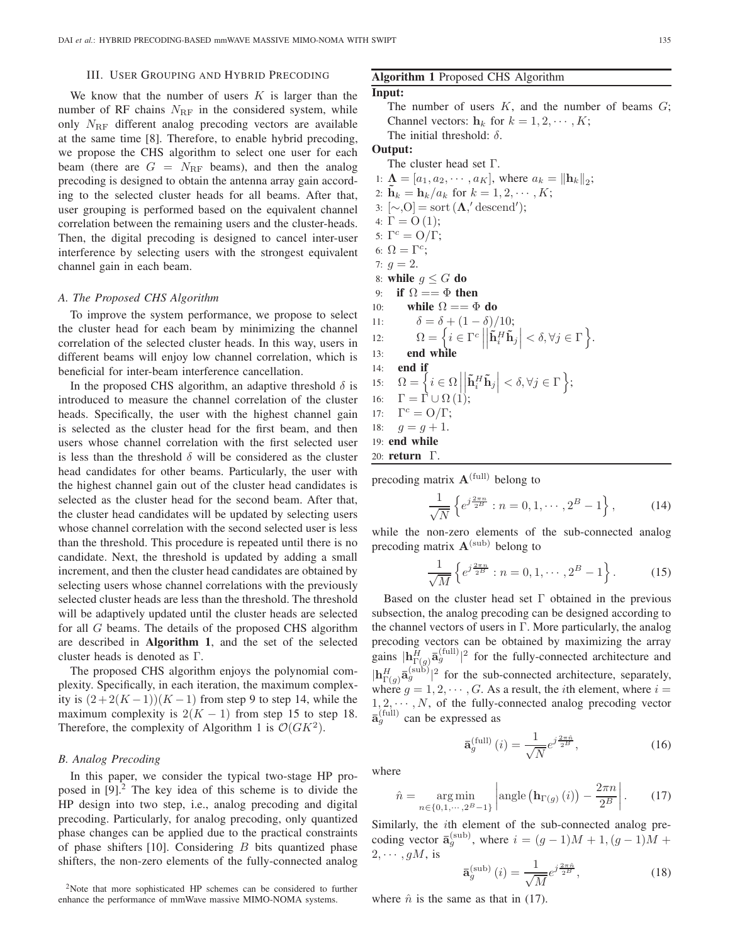#### III. USER GROUPING AND HYBRID PRECODING

We know that the number of users  $K$  is larger than the number of RF chains  $N_{\text{RF}}$  in the considered system, while only  $N_{\text{RF}}$  different analog precoding vectors are available at the same time [8]. Therefore, to enable hybrid precoding, we propose the CHS algorithm to select one user for each beam (there are  $G = N_{\text{RF}}$  beams), and then the analog precoding is designed to obtain the antenna array gain according to the selected cluster heads for all beams. After that, user grouping is performed based on the equivalent channel correlation between the remaining users and the cluster-heads. Then, the digital precoding is designed to cancel inter-user interference by selecting users with the strongest equivalent channel gain in each beam.

#### *A. The Proposed CHS Algorithm*

To improve the system performance, we propose to select the cluster head for each beam by minimizing the channel correlation of the selected cluster heads. In this way, users in different beams will enjoy low channel correlation, which is beneficial for inter-beam interference cancellation.

In the proposed CHS algorithm, an adaptive threshold  $\delta$  is introduced to measure the channel correlation of the cluster heads. Specifically, the user with the highest channel gain is selected as the cluster head for the first beam, and then users whose channel correlation with the first selected user is less than the threshold  $\delta$  will be considered as the cluster head candidates for other beams. Particularly, the user with the highest channel gain out of the cluster head candidates is selected as the cluster head for the second beam. After that, the cluster head candidates will be updated by selecting users whose channel correlation with the second selected user is less than the threshold. This procedure is repeated until there is no candidate. Next, the threshold is updated by adding a small increment, and then the cluster head candidates are obtained by selecting users whose channel correlations with the previously selected cluster heads are less than the threshold. The threshold will be adaptively updated until the cluster heads are selected for all G beams. The details of the proposed CHS algorithm are described in **Algorithm 1**, and the set of the selected cluster heads is denoted as Γ.

The proposed CHS algorithm enjoys the polynomial complexity. Specifically, in each iteration, the maximum complexity is  $(2+2(K-1))(K-1)$  from step 9 to step 14, while the maximum complexity is  $2(K - 1)$  from step 15 to step 18. Therefore, the complexity of Algorithm 1 is  $\mathcal{O}(GK^2)$ .

## *B. Analog Precoding*

In this paper, we consider the typical two-stage HP proposed in  $[9]$ <sup>2</sup>. The key idea of this scheme is to divide the HP design into two step, i.e., analog precoding and digital precoding. Particularly, for analog precoding, only quantized phase changes can be applied due to the practical constraints of phase shifters  $[10]$ . Considering  $B$  bits quantized phase shifters, the non-zero elements of the fully-connected analog

2Note that more sophisticated HP schemes can be considered to further enhance the performance of mmWave massive MIMO-NOMA systems.

# **Algorithm 1** Proposed CHS Algorithm

#### **Input:**

The number of users  $K$ , and the number of beams  $G$ ; Channel vectors:  $\mathbf{h}_k$  for  $k = 1, 2, \cdots, K$ ; The initial threshold:  $\delta$ .

#### **Output:**

The cluster head set Γ.

1:  $\mathbf{\Lambda} = [a_1, a_2, \cdots, a_K]$ , where  $a_k = ||\mathbf{h}_k||_2$ ; 2:  $h_k = h_k/a_k$  for  $k = 1, 2, \dots, K;$ 3:  $[\sim, O] = \text{sort}(\Lambda, \text{'descend'});$ 4:  $\Gamma = O(1);$ 5:  $\Gamma^c = \frac{O}{\Gamma};$ 6:  $\Omega = \Gamma^c$ ; 7:  $q = 2$ . 8: **while**  $g \leq G$  **do** 9: **if**  $\Omega = \Phi$  **then** 10: **while**  $\Omega = \Phi$  **do** 11:  $\delta = \delta + (1 - \delta)/10;$ 12:  $\Omega = \left\{ i \in \Gamma^c \mid$   $\left| \mathbf{\tilde{h}}_i^H \mathbf{\tilde{h}}_j \right| < \delta, \forall j \in \Gamma \bigg\}.$ 13: **end while** 14: **end if** 15:  $\Omega = \left\{ i \in \Omega \mid$  $\overline{\phantom{a}}$  $\left| {\mathbf{\tilde{h}}_i^H{{\mathbf{\tilde{h}}}_j}} \right| < \delta ,\forall j \in \Gamma \Big\};$ 16:  $\Gamma = \Gamma \cup \Omega(1);$ 17:  $\Gamma^c = \mathcal{O}/\Gamma;$ 18:  $g = g + 1$ . 19: **end while** 20: **return** Γ.

precoding matrix  $A^{(full)}$  belong to

$$
\frac{1}{\sqrt{N}} \left\{ e^{j\frac{2\pi n}{2^B}} : n = 0, 1, \cdots, 2^B - 1 \right\},\tag{14}
$$

while the non-zero elements of the sub-connected analog precoding matrix  $A^{(\text{sub})}$  belong to

$$
\frac{1}{\sqrt{M}} \left\{ e^{j\frac{2\pi n}{2^B}} : n = 0, 1, \cdots, 2^B - 1 \right\}.
$$
 (15)

Based on the cluster head set Γ obtained in the previous subsection, the analog precoding can be designed according to the channel vectors of users in  $\Gamma$ . More particularly, the analog precoding vectors can be obtained by maximizing the array gains  $|\mathbf{h}^H_{\Gamma(g)}\mathbf{\bar{a}}_g^{\text{(full)}}|^2$  for the fully-connected architecture and  $|\mathbf{h}_{\Gamma(g)}^H \bar{\mathbf{a}}_g^{\text{(sub)}}|^2$  for the sub-connected architecture, separately, where  $g = 1, 2, \dots, G$ . As a result, the *i*th element, where  $i =$  $1, 2, \cdots, N$ , of the fully-connected analog precoding vector  $\bar{\mathbf{a}}_{g}^{(\text{full})}$  can be expressed as

$$
\bar{\mathbf{a}}_{g}^{(\text{full})}\left(i\right) = \frac{1}{\sqrt{N}} e^{j\frac{2\pi\hat{n}}{2^B}},\tag{16}
$$

where

$$
\hat{n} = \underset{n \in \{0, 1, \cdots, 2^B - 1\}}{\text{arg min}} \left| \text{angle} \left(\mathbf{h}_{\Gamma(g)}\left(i\right)\right) - \frac{2\pi n}{2^B} \right|.
$$
 (17)

Similarly, the ith element of the sub-connected analog precoding vector  $\bar{\mathbf{a}}_g^{(\text{sub})}$ , where  $i = (g-1)M + 1$ ,  $(g-1)M +$  $2, \cdots, gM$ , is

$$
\bar{\mathbf{a}}_g^{(\text{sub})}(i) = \frac{1}{\sqrt{M}} e^{j\frac{2\pi\hat{n}}{2B}},\tag{18}
$$

where  $\hat{n}$  is the same as that in (17).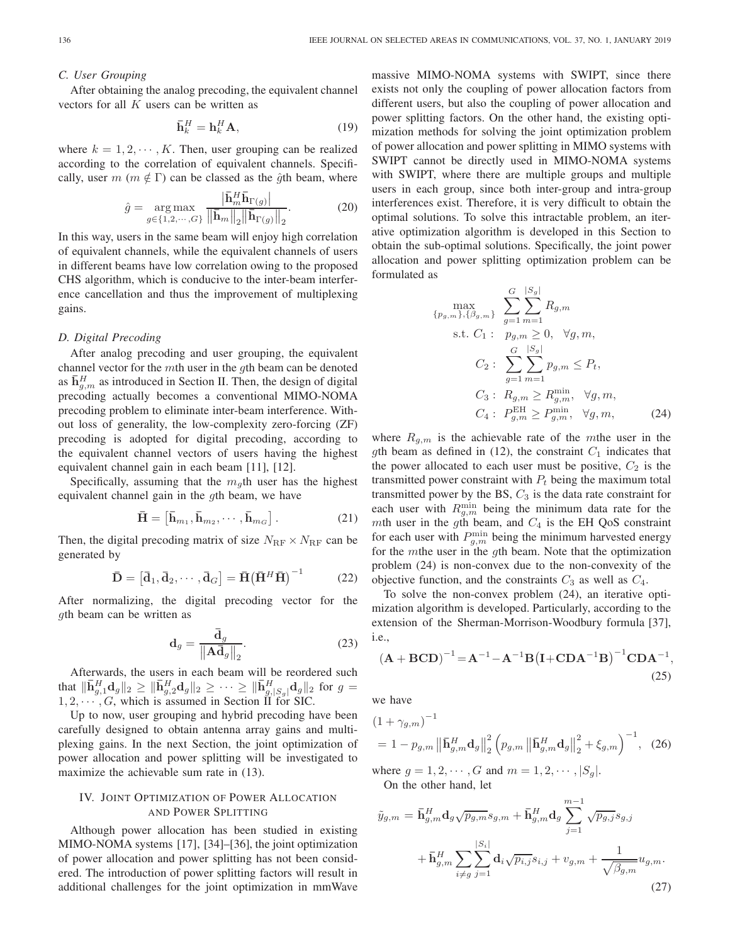#### *C. User Grouping*

After obtaining the analog precoding, the equivalent channel vectors for all  $K$  users can be written as

$$
\bar{\mathbf{h}}_k^H = \mathbf{h}_k^H \mathbf{A},\tag{19}
$$

where  $k = 1, 2, \dots, K$ . Then, user grouping can be realized according to the correlation of equivalent channels. Specifically, user  $m$  ( $m \notin \Gamma$ ) can be classed as the  $\hat{q}$ th beam, where

$$
\hat{g} = \underset{g \in \{1, 2, \cdots, G\}}{\arg \max} \frac{\left| \bar{\mathbf{h}}_m^H \bar{\mathbf{h}}_{\Gamma(g)} \right|}{\left\| \bar{\mathbf{h}}_m \right\|_2 \left\| \bar{\mathbf{h}}_{\Gamma(g)} \right\|_2}.
$$
 (20)

In this way, users in the same beam will enjoy high correlation of equivalent channels, while the equivalent channels of users in different beams have low correlation owing to the proposed CHS algorithm, which is conducive to the inter-beam interference cancellation and thus the improvement of multiplexing gains.

#### *D. Digital Precoding*

After analog precoding and user grouping, the equivalent channel vector for the mth user in the gth beam can be denoted as  $\overline{h}^H_{g,m}$  as introduced in Section II. Then, the design of digital precoding actually becomes a conventional MIMO-NOMA precoding problem to eliminate inter-beam interference. Without loss of generality, the low-complexity zero-forcing (ZF) precoding is adopted for digital precoding, according to the equivalent channel vectors of users having the highest equivalent channel gain in each beam [11], [12].

Specifically, assuming that the  $m_q$ th user has the highest equivalent channel gain in the gth beam, we have

$$
\bar{\mathbf{H}} = \left[ \bar{\mathbf{h}}_{m_1}, \bar{\mathbf{h}}_{m_2}, \cdots, \bar{\mathbf{h}}_{m_G} \right]. \tag{21}
$$

Then, the digital precoding matrix of size  $N_{\rm RF} \times N_{\rm RF}$  can be generated by

$$
\mathbf{\bar{D}} = \left[ \mathbf{\bar{d}}_1, \mathbf{\bar{d}}_2, \cdots, \mathbf{\bar{d}}_G \right] = \mathbf{\bar{H}} \left( \mathbf{\bar{H}}^H \mathbf{\bar{H}} \right)^{-1} \tag{22}
$$

After normalizing, the digital precoding vector for the gth beam can be written as

$$
\mathbf{d}_g = \frac{\bar{\mathbf{d}}_g}{\left\| \mathbf{A} \bar{\mathbf{d}}_g \right\|_2}.
$$
 (23)

Afterwards, the users in each beam will be reordered such that  $\|\bar{\mathbf{h}}_{g,1}^H \mathbf{d}_g\|_2 \ge \|\bar{\mathbf{h}}_{g,2}^H \mathbf{d}_g\|_2 \ge \cdots \ge \|\bar{\mathbf{h}}_{g,|S_g|}^H \mathbf{d}_g\|_2$  for  $g =$  $\lim_{g_1 \to 0} \frac{\log_1 |\mathbf{G}_g|}{g} \leq \lim_{g_2 \to 0} \frac{\log_2 |\mathbf{G}_g|}{g} \leq \cdots \leq \lim_{g_s \to 0} \frac{\log_2 |\mathbf{G}_g|}{g}$ <br>1, 2,  $\cdots$ , G, which is assumed in Section II for SIC.

Up to now, user grouping and hybrid precoding have been carefully designed to obtain antenna array gains and multiplexing gains. In the next Section, the joint optimization of power allocation and power splitting will be investigated to maximize the achievable sum rate in (13).

# IV. JOINT OPTIMIZATION OF POWER ALLOCATION AND POWER SPLITTING

Although power allocation has been studied in existing MIMO-NOMA systems [17], [34]–[36], the joint optimization of power allocation and power splitting has not been considered. The introduction of power splitting factors will result in additional challenges for the joint optimization in mmWave massive MIMO-NOMA systems with SWIPT, since there exists not only the coupling of power allocation factors from different users, but also the coupling of power allocation and power splitting factors. On the other hand, the existing optimization methods for solving the joint optimization problem of power allocation and power splitting in MIMO systems with SWIPT cannot be directly used in MIMO-NOMA systems with SWIPT, where there are multiple groups and multiple users in each group, since both inter-group and intra-group interferences exist. Therefore, it is very difficult to obtain the optimal solutions. To solve this intractable problem, an iterative optimization algorithm is developed in this Section to obtain the sub-optimal solutions. Specifically, the joint power allocation and power splitting optimization problem can be formulated as

$$
\max_{\{p_{g,m}\},\{\beta_{g,m}\}} \sum_{g=1}^{G} \sum_{m=1}^{|S_g|} R_{g,m}
$$
\n
$$
\text{s.t. } C_1: p_{g,m} \ge 0, \forall g, m,
$$
\n
$$
C_2: \sum_{g=1}^{G} \sum_{m=1}^{|S_g|} p_{g,m} \le P_t,
$$
\n
$$
C_3: R_{g,m} \ge R_{g,m}^{\min}, \forall g, m,
$$
\n
$$
C_4: P_{g,m}^{\text{EH}} \ge P_{g,m}^{\min}, \forall g, m,
$$
\n(24)

where  $R_{g,m}$  is the achievable rate of the mthe user in the gth beam as defined in (12), the constraint  $C_1$  indicates that the power allocated to each user must be positive,  $C_2$  is the transmitted power constraint with  $P_t$  being the maximum total transmitted power by the BS,  $C_3$  is the data rate constraint for each user with  $R_{g,m}^{\min}$  being the minimum data rate for the mth user in the gth beam, and  $C_4$  is the EH QoS constraint for each user with  $P_{g,m}^{\min}$  being the minimum harvested energy for the *m*the user in the *g*th beam. Note that the optimization problem (24) is non-convex due to the non-convexity of the objective function, and the constraints  $C_3$  as well as  $C_4$ .

To solve the non-convex problem (24), an iterative optimization algorithm is developed. Particularly, according to the extension of the Sherman-Morrison-Woodbury formula [37], i.e.,

$$
(\mathbf{A} + \mathbf{BCD})^{-1} = \mathbf{A}^{-1} - \mathbf{A}^{-1} \mathbf{B} (\mathbf{I} + \mathbf{CDA}^{-1} \mathbf{B})^{-1} \mathbf{CDA}^{-1},
$$
\n(25)

we have

$$
(1 + \gamma_{g,m})^{-1}
$$
  
= 1 - p\_{g,m} ||\bar{\mathbf{h}}\_{g,m}^{H} \mathbf{d}\_{g}||\_{2}^{2} (p\_{g,m} ||\bar{\mathbf{h}}\_{g,m}^{H} \mathbf{d}\_{g}||\_{2}^{2} + \xi\_{g,m})^{-1}, (26)

where  $g = 1, 2, \dots, G$  and  $m = 1, 2, \dots, |S_q|$ . On the other hand, let

$$
\tilde{y}_{g,m} = \bar{\mathbf{h}}_{g,m}^H \mathbf{d}_g \sqrt{p_{g,m}} s_{g,m} + \bar{\mathbf{h}}_{g,m}^H \mathbf{d}_g \sum_{j=1}^{m-1} \sqrt{p_{g,j}} s_{g,j} \n+ \bar{\mathbf{h}}_{g,m}^H \sum_{i \neq g} \sum_{j=1}^{|S_i|} \mathbf{d}_i \sqrt{p_{i,j}} s_{i,j} + v_{g,m} + \frac{1}{\sqrt{\beta_{g,m}}} u_{g,m}.
$$
\n(27)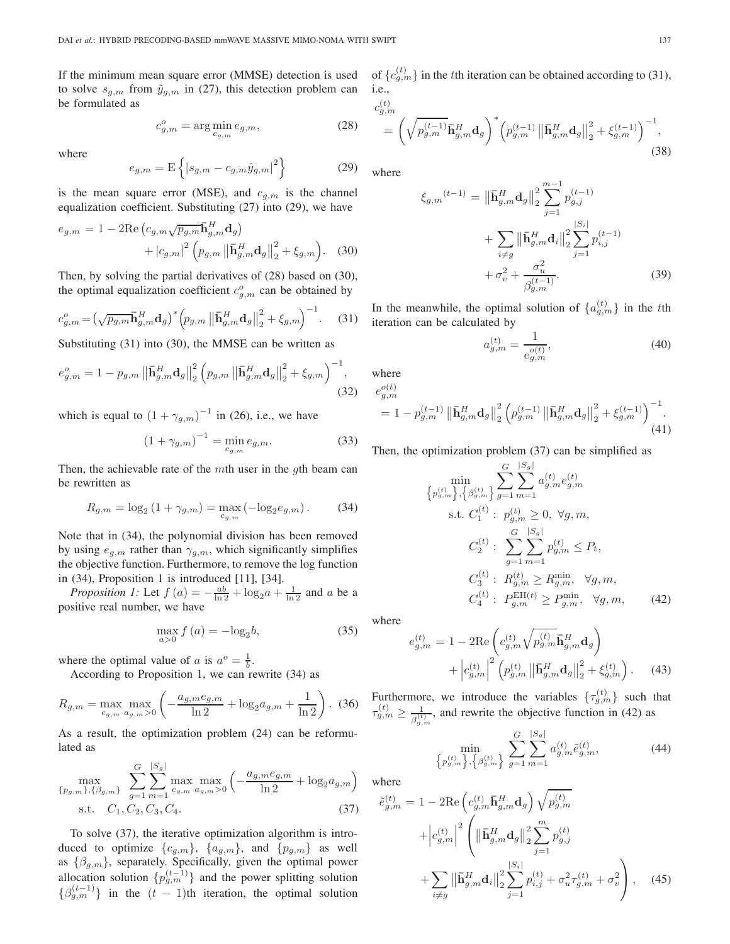If the minimum mean square error (MMSE) detection is used to solve  $s_{g,m}$  from  $\tilde{y}_{g,m}$  in (27), this detection problem can be formulated as

$$
c_{g,m}^o = \arg\min_{c_{g,m}} e_{g,m},\tag{28}
$$

where

$$
e_{g,m} = \mathcal{E}\left\{|s_{g,m} - c_{g,m}\tilde{y}_{g,m}|^2\right\} \tag{29}
$$

is the mean square error (MSE), and  $c_{g,m}$  is the channel equalization coefficient. Substituting (27) into (29), we have

$$
e_{g,m} = 1 - 2\text{Re}\left(c_{g,m}\sqrt{p_{g,m}}\mathbf{\bar{h}}_{g,m}^{H}\mathbf{d}_{g}\right) + |c_{g,m}|^{2}\left(p_{g,m}\left\|\mathbf{\bar{h}}_{g,m}^{H}\mathbf{d}_{g}\right\|_{2}^{2} + \xi_{g,m}\right).
$$
 (30)

Then, by solving the partial derivatives of (28) based on (30), the optimal equalization coefficient  $c_{g,m}^o$  can be obtained by

$$
c_{g,m}^{o} = \left(\sqrt{p_{g,m}} \mathbf{\bar{h}}_{g,m}^{H} \mathbf{d}_{g}\right)^{*} \left(p_{g,m} \left\|\mathbf{\bar{h}}_{g,m}^{H} \mathbf{d}_{g}\right\|_{2}^{2} + \xi_{g,m}\right)^{-1}.
$$
 (31)

Substituting (31) into (30), the MMSE can be written as

$$
e_{g,m}^{o} = 1 - p_{g,m} \left\| \bar{\mathbf{h}}_{g,m}^{H} \mathbf{d}_{g} \right\|_{2}^{2} \left( p_{g,m} \left\| \bar{\mathbf{h}}_{g,m}^{H} \mathbf{d}_{g} \right\|_{2}^{2} + \xi_{g,m} \right)^{-1},
$$
\n(32)

which is equal to  $(1 + \gamma_{g,m})^{-1}$  in (26), i.e., we have

$$
(1 + \gamma_{g,m})^{-1} = \min_{c_{g,m}} e_{g,m}.
$$
 (33)

Then, the achievable rate of the mth user in the  $q$ th beam can be rewritten as

$$
R_{g,m} = \log_2(1 + \gamma_{g,m}) = \max_{c_{g,m}} (-\log_2 e_{g,m}).
$$
 (34)

Note that in (34), the polynomial division has been removed by using  $e_{g,m}$  rather than  $\gamma_{g,m}$ , which significantly simplifies the objective function. Furthermore, to remove the log function in (34), Proposition 1 is introduced [11], [34].

*Proposition 1:* Let  $f(a) = -\frac{ab}{\ln 2} + \log_2 a + \frac{1}{\ln 2}$  and a be a positive real number, we have

$$
\max_{a>0} f\left(a\right) = -\log_2 b,\tag{35}
$$

where the optimal value of a is  $a^{\circ} = \frac{1}{b}$ .

According to Proposition 1, we can rewrite (34) as

$$
R_{g,m} = \max_{c_{g,m}} \max_{a_{g,m}>0} \left( -\frac{a_{g,m}e_{g,m}}{\ln 2} + \log_2 a_{g,m} + \frac{1}{\ln 2} \right). (36)
$$

As a result, the optimization problem (24) can be reformulated as

$$
\max_{\{p_{g,m}\},\{\beta_{g,m}\}} \sum_{g=1}^{G} \sum_{m=1}^{|S_g|} \max_{c_{g,m}} \max_{a_{g,m}>0} \left( -\frac{a_{g,m}e_{g,m}}{\ln 2} + \log_2 a_{g,m} \right)
$$
  
s.t.  $C_1, C_2, C_3, C_4$ . (37)

To solve (37), the iterative optimization algorithm is introduced to optimize  $\{c_{g,m}\},\ \{a_{g,m}\},\ \text{and}\ \{p_{g,m}\}\ \text{as well}$ as  $\{\beta_{g,m}\}\$ , separately. Specifically, given the optimal power allocation solution  $\{p_{g,m}^{(t-1)}\}$  and the power splitting solution  ${\beta_{g,m}^{(t-1)}}$  in the  $(t-1)$ th iteration, the optimal solution

of  $\{c_{g,m}^{(t)}\}$  in the tth iteration can be obtained according to (31), i.e.,

$$
c_{g,m}^{(t)} = \left(\sqrt{p_{g,m}^{(t-1)}} \bar{\mathbf{h}}_{g,m}^H \mathbf{d}_g\right)^* \left(p_{g,m}^{(t-1)} \left\| \bar{\mathbf{h}}_{g,m}^H \mathbf{d}_g \right\|_2^2 + \xi_{g,m}^{(t-1)}\right)^{-1},\tag{38}
$$

where

$$
\xi_{g,m}^{(t-1)} = \left\| \bar{\mathbf{h}}_{g,m}^{H} \mathbf{d}_{g} \right\|_{2}^{2} \sum_{j=1}^{m-1} p_{g,j}^{(t-1)} + \sum_{i \neq g} \left\| \bar{\mathbf{h}}_{g,m}^{H} \mathbf{d}_{i} \right\|_{2}^{2} \sum_{j=1}^{|S_{i}|} p_{i,j}^{(t-1)} + \sigma_{v}^{2} + \frac{\sigma_{u}^{2}}{\beta_{g,m}^{(t-1)}}.
$$
\n(39)

In the meanwhile, the optimal solution of  $\{a_{g,m}^{(t)}\}$  in the tth iteration can be calculated by

$$
a_{g,m}^{(t)} = \frac{1}{e_{g,m}^{o(t)}},\tag{40}
$$

where  $e_{g,m}^{o(t)}$ 

$$
=1-p_{g,m}^{(t-1)}\left\|\bar{\mathbf{h}}_{g,m}^{H}\mathbf{d}_{g}\right\|_{2}^{2}\left(p_{g,m}^{(t-1)}\left\|\bar{\mathbf{h}}_{g,m}^{H}\mathbf{d}_{g}\right\|_{2}^{2}+\xi_{g,m}^{(t-1)}\right)^{-1}.\tag{41}
$$

Then, the optimization problem (37) can be simplified as

$$
\min_{\left\{p_{g,m}^{(t)}\right\},\left\{\beta_{g,m}^{(t)}\right\}}\sum_{g=1}^{G}\sum_{m=1}^{|S_g|}a_{g,m}^{(t)}e_{g,m}^{(t)}
$$
\n
$$
\text{s.t. } C_1^{(t)}: p_{g,m}^{(t)} \ge 0, \ \forall g,m,
$$
\n
$$
C_2^{(t)}: \sum_{g=1}^{G}\sum_{m=1}^{|S_g|}p_{g,m}^{(t)} \le P_t,
$$
\n
$$
C_3^{(t)}: R_{g,m}^{(t)} \ge R_{g,m}^{\min}, \ \forall g,m,
$$
\n
$$
C_4^{(t)}: P_{g,m}^{\text{EH}(t)} \ge P_{g,m}^{\min}, \ \forall g,m,
$$
\n
$$
(42)
$$

where

$$
e_{g,m}^{(t)} = 1 - 2\text{Re}\left(c_{g,m}^{(t)}\sqrt{p_{g,m}^{(t)}}\bar{\mathbf{h}}_{g,m}^{H}\mathbf{d}_{g}\right) + \left|c_{g,m}^{(t)}\right|^{2}\left(p_{g,m}^{(t)}\left\|\bar{\mathbf{h}}_{g,m}^{H}\mathbf{d}_{g}\right\|_{2}^{2} + \xi_{g,m}^{(t)}\right). \tag{43}
$$

Furthermore, we introduce the variables  $\{\tau_{g,m}^{(t)}\}$  such that  $\tau_{g,m}^{(t)} \geq \frac{1}{e^{(t)}}$  $\frac{1}{\beta_{g,m}^{(t)}}$ , and rewrite the objective function in (42) as

$$
\min_{\left\{p_{g,m}^{(t)}\right\},\left\{\beta_{g,m}^{(t)}\right\}}\sum_{g=1}^{G}\sum_{m=1}^{|S_g|}a_{g,m}^{(t)}\tilde{e}_{g,m}^{(t)},\tag{44}
$$

where

$$
\tilde{e}_{g,m}^{(t)} = 1 - 2\text{Re}\left(c_{g,m}^{(t)}\bar{\mathbf{h}}_{g,m}^{H}\mathbf{d}_{g}\right)\sqrt{p_{g,m}^{(t)}}
$$

$$
+ \left|c_{g,m}^{(t)}\right|^{2} \left(\left\|\bar{\mathbf{h}}_{g,m}^{H}\mathbf{d}_{g}\right\|_{2}^{2} \sum_{j=1}^{m} p_{g,j}^{(t)}\right)
$$

$$
+ \sum_{i \neq g} \left\|\bar{\mathbf{h}}_{g,m}^{H}\mathbf{d}_{i}\right\|_{2}^{2} \sum_{j=1}^{|S_{i}|} p_{i,j}^{(t)} + \sigma_{u}^{2} \tau_{g,m}^{(t)} + \sigma_{v}^{2}\right), \quad (45)
$$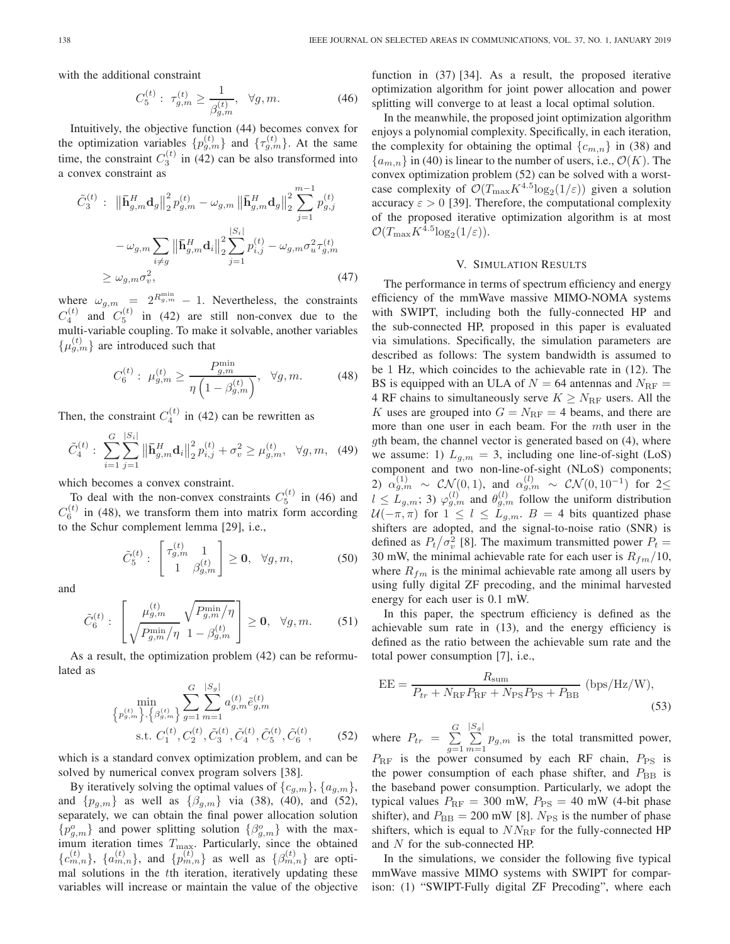with the additional constraint

$$
C_5^{(t)}: \ \tau_{g,m}^{(t)} \ge \frac{1}{\beta_{g,m}^{(t)}}, \ \ \forall g,m. \tag{46}
$$

Intuitively, the objective function (44) becomes convex for the optimization variables  $\{p_{g,m}^{(t)}\}$  and  $\{\tau_{g,m}^{(t)}\}$ . At the same time, the constraint  $C_3^{(t)}$  in (42) can be also transformed into a convex constraint as

$$
\tilde{C}_{3}^{(t)}: \|\bar{\mathbf{h}}_{g,m}^{H} \mathbf{d}_{g}\|_{2}^{2} p_{g,m}^{(t)} - \omega_{g,m} \|\bar{\mathbf{h}}_{g,m}^{H} \mathbf{d}_{g}\|_{2}^{2} \sum_{j=1}^{m-1} p_{g,j}^{(t)} \n- \omega_{g,m} \sum_{i \neq g} \|\bar{\mathbf{h}}_{g,m}^{H} \mathbf{d}_{i}\|_{2}^{2} \sum_{j=1}^{|S_{i}|} p_{i,j}^{(t)} - \omega_{g,m} \sigma_{u}^{2} \tau_{g,m}^{(t)} \n\geq \omega_{g,m} \sigma_{v}^{2},
$$
\n(47)

where  $\omega_{g,m} = 2^{R_{g,m}^{\min}} - 1$ . Nevertheless, the constraints  $C_4^{(t)}$  and  $C_5^{(t)}$  in (42) are still non-convex due to the multi-variable coupling. To make it solvable, another variables  $\{\mu_{g,m}^{(t)}\}$  are introduced such that

$$
C_6^{(t)}: \ \mu_{g,m}^{(t)} \ge \frac{P_{g,m}^{\min}}{\eta \left(1 - \beta_{g,m}^{(t)}\right)}, \ \ \forall g, m. \tag{48}
$$

Then, the constraint  $C_4^{(t)}$  in (42) can be rewritten as

$$
\tilde{C}_{4}^{(t)}: \sum_{i=1}^{G} \sum_{j=1}^{|S_i|} \left\| \bar{\mathbf{h}}_{g,m}^H \mathbf{d}_i \right\|_2^2 p_{i,j}^{(t)} + \sigma_v^2 \ge \mu_{g,m}^{(t)}, \quad \forall g, m, \quad (49)
$$

which becomes a convex constraint.

To deal with the non-convex constraints  $C_5^{(t)}$  in (46) and  $C_6^{(t)}$  in (48), we transform them into matrix form according to the Schur complement lemma [29], i.e.,

$$
\tilde{C}_{5}^{(t)}: \begin{bmatrix} \tau_{g,m}^{(t)} & 1\\ 1 & \beta_{g,m}^{(t)} \end{bmatrix} \geq \mathbf{0}, \quad \forall g, m,
$$
 (50)

and

$$
\tilde{C}_6^{(t)}: \left[\begin{array}{c} \mu_{g,m}^{(t)} \sqrt{P_{g,m}^{\min}/\eta} \\ \sqrt{P_{g,m}^{\min}/\eta} \ 1 - \beta_{g,m}^{(t)} \end{array}\right] \geq \mathbf{0}, \ \ \forall g,m. \tag{51}
$$

As a result, the optimization problem (42) can be reformulated as

$$
\min_{\left\{p_{g,m}^{(t)}\right\},\left\{\beta_{g,m}^{(t)}\right\}} \sum_{g=1}^{G} \sum_{m=1}^{|S_g|} a_{g,m}^{(t)} \tilde{e}_{g,m}^{(t)}
$$
\n
$$
\text{s.t. } C_1^{(t)}, C_2^{(t)}, \tilde{C}_3^{(t)}, \tilde{C}_4^{(t)}, \tilde{C}_5^{(t)}, \tilde{C}_6^{(t)}, \tag{52}
$$

which is a standard convex optimization problem, and can be solved by numerical convex program solvers [38].

By iteratively solving the optimal values of  $\{c_{g,m}\}, \{a_{g,m}\},$ and  $\{p_{g,m}\}\$ as well as  $\{\beta_{g,m}\}\$  via (38), (40), and (52), separately, we can obtain the final power allocation solution  ${p_{g,m}^o}$  and power splitting solution  ${ \beta_{g,m}^o}$  with the maximum iteration times  $T_{\text{max}}$ . Particularly, since the obtained  ${c_{m,n}^{(t)}}$ ,  ${a_{m,n}^{(t)}}$ , and  ${p_{m,n}^{(t)}}$  as well as  ${ \beta_{m,n}^{(t)}}$  are optimal solutions in the tth iteration, iteratively updating these variables will increase or maintain the value of the objective function in (37) [34]. As a result, the proposed iterative optimization algorithm for joint power allocation and power splitting will converge to at least a local optimal solution.

In the meanwhile, the proposed joint optimization algorithm enjoys a polynomial complexity. Specifically, in each iteration, the complexity for obtaining the optimal  $\{c_{m,n}\}\$ in (38) and  ${a_{m,n}}$  in (40) is linear to the number of users, i.e.,  $\mathcal{O}(K)$ . The convex optimization problem (52) can be solved with a worstcase complexity of  $\mathcal{O}(T_{\max}K^{4.5}\log_2(1/\varepsilon))$  given a solution accuracy  $\varepsilon > 0$  [39]. Therefore, the computational complexity of the proposed iterative optimization algorithm is at most  $\mathcal{O}(T_{\max}K^{4.5}\log_2(1/\varepsilon)).$ 

#### V. SIMULATION RESULTS

The performance in terms of spectrum efficiency and energy efficiency of the mmWave massive MIMO-NOMA systems with SWIPT, including both the fully-connected HP and the sub-connected HP, proposed in this paper is evaluated via simulations. Specifically, the simulation parameters are described as follows: The system bandwidth is assumed to be 1 Hz, which coincides to the achievable rate in (12). The BS is equipped with an ULA of  $N = 64$  antennas and  $N_{\text{RF}} =$ 4 RF chains to simultaneously serve  $K \geq N_{\text{RF}}$  users. All the K uses are grouped into  $G = N_{\text{RF}} = 4$  beams, and there are more than one user in each beam. For the mth user in the gth beam, the channel vector is generated based on (4), where we assume: 1)  $L_{g,m} = 3$ , including one line-of-sight (LoS) component and two non-line-of-sight (NLoS) components; 2)  $\alpha_{g,m}^{(1)} \sim \mathcal{CN}(0,1)$ , and  $\alpha_{g,m}^{(l)} \sim \mathcal{CN}(0,10^{-1})$  for 2 $\leq$  $l \leq L_{g,m}$ ; 3)  $\varphi_{g,m}^{(l)}$  and  $\theta_{g,m}^{(l)}$  follow the uniform distribution  $U(-\pi, \pi)$  for  $1 \leq l \leq L_{g,m}$ .  $B = 4$  bits quantized phase shifters are adopted, and the signal-to-noise ratio (SNR) is defined as  $P_t / \sigma_v^2$  [8]. The maximum transmitted power  $P_t =$ 30 mW, the minimal achievable rate for each user is  $R_{fm}/10$ , where  $R_{fm}$  is the minimal achievable rate among all users by using fully digital ZF precoding, and the minimal harvested energy for each user is 0.1 mW.

In this paper, the spectrum efficiency is defined as the achievable sum rate in (13), and the energy efficiency is defined as the ratio between the achievable sum rate and the total power consumption [7], i.e.,

$$
EE = \frac{R_{\text{sum}}}{P_{tr} + N_{\text{RF}} P_{\text{RF}} + N_{\text{PS}} P_{\text{PS}} + P_{\text{BB}}} \text{ (bps/Hz/W)},\tag{53}
$$

where  $P_{tr} = \sum_{r=1}^{G}$  $g=1$  $\sum_{i=1}^{\lfloor S_g\rfloor}$  $\sum_{m=1} p_{g,m}$  is the total transmitted power,  $P_{\text{RF}}$  is the power consumed by each RF chain,  $P_{\text{PS}}$  is the power consumption of each phase shifter, and  $P_{\text{BB}}$  is the baseband power consumption. Particularly, we adopt the typical values  $P_{\text{RF}} = 300$  mW,  $P_{\text{PS}} = 40$  mW (4-bit phase shifter), and  $P_{\text{BB}} = 200 \text{ mW}$  [8].  $N_{\text{PS}}$  is the number of phase shifters, which is equal to  $NN_{\text{RF}}$  for the fully-connected HP and N for the sub-connected HP.

In the simulations, we consider the following five typical mmWave massive MIMO systems with SWIPT for comparison: (1) "SWIPT-Fully digital ZF Precoding", where each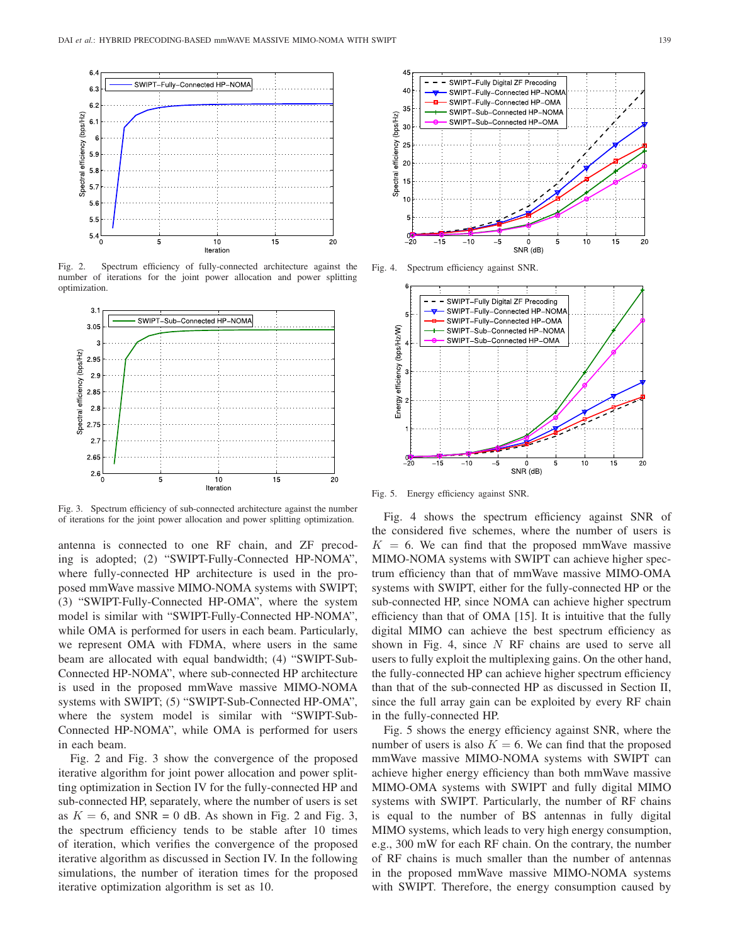

Fig. 2. Spectrum efficiency of fully-connected architecture against the number of iterations for the joint power allocation and power splitting optimization.



Fig. 3. Spectrum efficiency of sub-connected architecture against the number of iterations for the joint power allocation and power splitting optimization.

antenna is connected to one RF chain, and ZF precoding is adopted; (2) "SWIPT-Fully-Connected HP-NOMA", where fully-connected HP architecture is used in the proposed mmWave massive MIMO-NOMA systems with SWIPT; (3) "SWIPT-Fully-Connected HP-OMA", where the system model is similar with "SWIPT-Fully-Connected HP-NOMA", while OMA is performed for users in each beam. Particularly, we represent OMA with FDMA, where users in the same beam are allocated with equal bandwidth; (4) "SWIPT-Sub-Connected HP-NOMA", where sub-connected HP architecture is used in the proposed mmWave massive MIMO-NOMA systems with SWIPT; (5) "SWIPT-Sub-Connected HP-OMA", where the system model is similar with "SWIPT-Sub-Connected HP-NOMA", while OMA is performed for users in each beam.

Fig. 2 and Fig. 3 show the convergence of the proposed iterative algorithm for joint power allocation and power splitting optimization in Section IV for the fully-connected HP and sub-connected HP, separately, where the number of users is set as  $K = 6$ , and SNR = 0 dB. As shown in Fig. 2 and Fig. 3, the spectrum efficiency tends to be stable after 10 times of iteration, which verifies the convergence of the proposed iterative algorithm as discussed in Section IV. In the following simulations, the number of iteration times for the proposed iterative optimization algorithm is set as 10.



Fig. 4. Spectrum efficiency against SNR.



Fig. 5. Energy efficiency against SNR.

Fig. 4 shows the spectrum efficiency against SNR of the considered five schemes, where the number of users is  $K = 6$ . We can find that the proposed mmWave massive MIMO-NOMA systems with SWIPT can achieve higher spectrum efficiency than that of mmWave massive MIMO-OMA systems with SWIPT, either for the fully-connected HP or the sub-connected HP, since NOMA can achieve higher spectrum efficiency than that of OMA [15]. It is intuitive that the fully digital MIMO can achieve the best spectrum efficiency as shown in Fig. 4, since  $N$  RF chains are used to serve all users to fully exploit the multiplexing gains. On the other hand, the fully-connected HP can achieve higher spectrum efficiency than that of the sub-connected HP as discussed in Section II, since the full array gain can be exploited by every RF chain in the fully-connected HP.

Fig. 5 shows the energy efficiency against SNR, where the number of users is also  $K = 6$ . We can find that the proposed mmWave massive MIMO-NOMA systems with SWIPT can achieve higher energy efficiency than both mmWave massive MIMO-OMA systems with SWIPT and fully digital MIMO systems with SWIPT. Particularly, the number of RF chains is equal to the number of BS antennas in fully digital MIMO systems, which leads to very high energy consumption, e.g., 300 mW for each RF chain. On the contrary, the number of RF chains is much smaller than the number of antennas in the proposed mmWave massive MIMO-NOMA systems with SWIPT. Therefore, the energy consumption caused by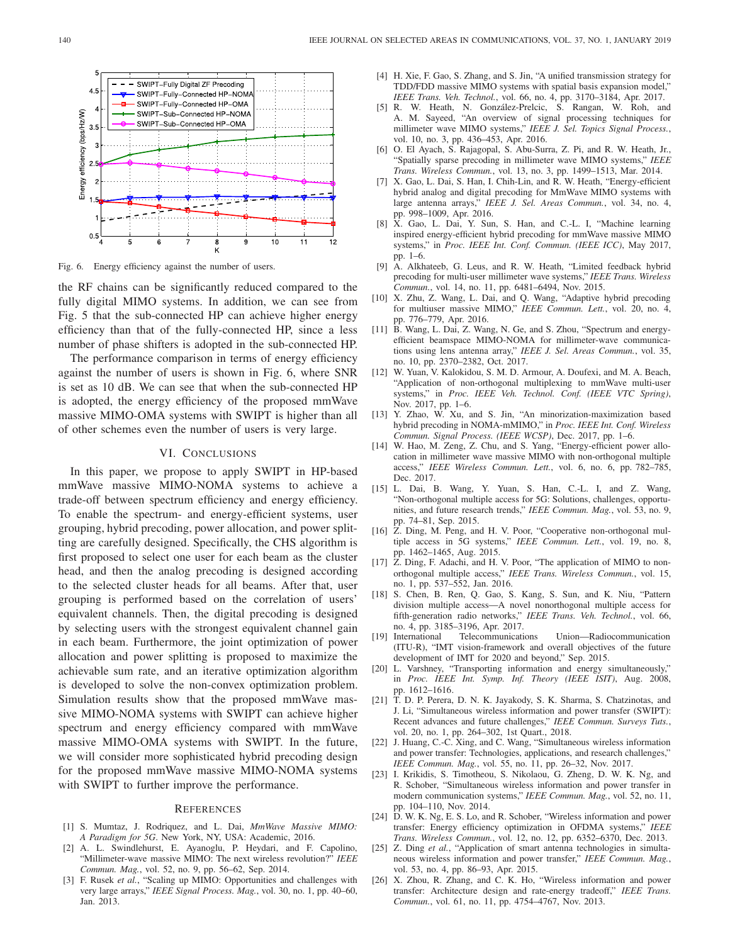

Fig. 6. Energy efficiency against the number of users.

the RF chains can be significantly reduced compared to the fully digital MIMO systems. In addition, we can see from Fig. 5 that the sub-connected HP can achieve higher energy efficiency than that of the fully-connected HP, since a less number of phase shifters is adopted in the sub-connected HP.

The performance comparison in terms of energy efficiency against the number of users is shown in Fig. 6, where SNR is set as 10 dB. We can see that when the sub-connected HP is adopted, the energy efficiency of the proposed mmWave massive MIMO-OMA systems with SWIPT is higher than all of other schemes even the number of users is very large.

#### VI. CONCLUSIONS

In this paper, we propose to apply SWIPT in HP-based mmWave massive MIMO-NOMA systems to achieve a trade-off between spectrum efficiency and energy efficiency. To enable the spectrum- and energy-efficient systems, user grouping, hybrid precoding, power allocation, and power splitting are carefully designed. Specifically, the CHS algorithm is first proposed to select one user for each beam as the cluster head, and then the analog precoding is designed according to the selected cluster heads for all beams. After that, user grouping is performed based on the correlation of users' equivalent channels. Then, the digital precoding is designed by selecting users with the strongest equivalent channel gain in each beam. Furthermore, the joint optimization of power allocation and power splitting is proposed to maximize the achievable sum rate, and an iterative optimization algorithm is developed to solve the non-convex optimization problem. Simulation results show that the proposed mmWave massive MIMO-NOMA systems with SWIPT can achieve higher spectrum and energy efficiency compared with mmWave massive MIMO-OMA systems with SWIPT. In the future, we will consider more sophisticated hybrid precoding design for the proposed mmWave massive MIMO-NOMA systems with SWIPT to further improve the performance.

#### **REFERENCES**

- [1] S. Mumtaz, J. Rodriquez, and L. Dai, *MmWave Massive MIMO: A Paradigm for 5G*. New York, NY, USA: Academic, 2016.
- [2] A. L. Swindlehurst, E. Ayanoglu, P. Heydari, and F. Capolino, "Millimeter-wave massive MIMO: The next wireless revolution?" *IEEE Commun. Mag.*, vol. 52, no. 9, pp. 56–62, Sep. 2014.
- [3] F. Rusek *et al.*, "Scaling up MIMO: Opportunities and challenges with very large arrays," *IEEE Signal Process. Mag.*, vol. 30, no. 1, pp. 40–60, Jan. 2013.
- [4] H. Xie, F. Gao, S. Zhang, and S. Jin, "A unified transmission strategy for TDD/FDD massive MIMO systems with spatial basis expansion model," *IEEE Trans. Veh. Technol.*, vol. 66, no. 4, pp. 3170–3184, Apr. 2017.
- [5] R. W. Heath, N. González-Prelcic, S. Rangan, W. Roh, and A. M. Sayeed, "An overview of signal processing techniques for millimeter wave MIMO systems," *IEEE J. Sel. Topics Signal Process.*, vol. 10, no. 3, pp. 436–453, Apr. 2016.
- [6] O. El Ayach, S. Rajagopal, S. Abu-Surra, Z. Pi, and R. W. Heath, Jr., "Spatially sparse precoding in millimeter wave MIMO systems," *IEEE Trans. Wireless Commun.*, vol. 13, no. 3, pp. 1499–1513, Mar. 2014.
- [7] X. Gao, L. Dai, S. Han, I. Chih-Lin, and R. W. Heath, "Energy-efficient hybrid analog and digital precoding for MmWave MIMO systems with large antenna arrays," *IEEE J. Sel. Areas Commun.*, vol. 34, no. 4, pp. 998–1009, Apr. 2016.
- [8] X. Gao, L. Dai, Y. Sun, S. Han, and C.-L. I, "Machine learning inspired energy-efficient hybrid precoding for mmWave massive MIMO systems," in *Proc. IEEE Int. Conf. Commun. (IEEE ICC)*, May 2017, pp. 1–6.
- [9] A. Alkhateeb, G. Leus, and R. W. Heath, "Limited feedback hybrid precoding for multi-user millimeter wave systems," *IEEE Trans. Wireless Commun.*, vol. 14, no. 11, pp. 6481–6494, Nov. 2015.
- [10] X. Zhu, Z. Wang, L. Dai, and Q. Wang, "Adaptive hybrid precoding for multiuser massive MIMO," *IEEE Commun. Lett.*, vol. 20, no. 4, pp. 776–779, Apr. 2016.
- [11] B. Wang, L. Dai, Z. Wang, N. Ge, and S. Zhou, "Spectrum and energyefficient beamspace MIMO-NOMA for millimeter-wave communications using lens antenna array," *IEEE J. Sel. Areas Commun.*, vol. 35, no. 10, pp. 2370–2382, Oct. 2017.
- [12] W. Yuan, V. Kalokidou, S. M. D. Armour, A. Doufexi, and M. A. Beach, "Application of non-orthogonal multiplexing to mmWave multi-user systems," in *Proc. IEEE Veh. Technol. Conf. (IEEE VTC Spring)*, Nov. 2017, pp. 1–6.
- [13] Y. Zhao, W. Xu, and S. Jin, "An minorization-maximization based hybrid precoding in NOMA-mMIMO," in *Proc. IEEE Int. Conf. Wireless Commun. Signal Process. (IEEE WCSP)*, Dec. 2017, pp. 1–6.
- [14] W. Hao, M. Zeng, Z. Chu, and S. Yang, "Energy-efficient power allocation in millimeter wave massive MIMO with non-orthogonal multiple access," *IEEE Wireless Commun. Lett.*, vol. 6, no. 6, pp. 782–785, Dec. 2017.
- [15] L. Dai, B. Wang, Y. Yuan, S. Han, C.-L. I, and Z. Wang, "Non-orthogonal multiple access for 5G: Solutions, challenges, opportunities, and future research trends," *IEEE Commun. Mag.*, vol. 53, no. 9, pp. 74–81, Sep. 2015.
- [16] Z. Ding, M. Peng, and H. V. Poor, "Cooperative non-orthogonal multiple access in 5G systems," *IEEE Commun. Lett.*, vol. 19, no. 8, pp. 1462–1465, Aug. 2015.
- [17]  $\hat{Z}$ . Ding, F. Adachi, and H. V. Poor, "The application of MIMO to nonorthogonal multiple access," *IEEE Trans. Wireless Commun.*, vol. 15, no. 1, pp. 537–552, Jan. 2016.
- [18] S. Chen, B. Ren, Q. Gao, S. Kang, S. Sun, and K. Niu, "Pattern division multiple access—A novel nonorthogonal multiple access for fifth-generation radio networks," *IEEE Trans. Veh. Technol.*, vol. 66, no. 4, pp. 3185–3196, Apr. 2017.
- [19] International Telecommunications Union—Radiocommunication (ITU-R), "IMT vision-framework and overall objectives of the future development of IMT for 2020 and beyond," Sep. 2015.
- [20] L. Varshney, "Transporting information and energy simultaneously," in *Proc. IEEE Int. Symp. Inf. Theory (IEEE ISIT)*, Aug. 2008, pp. 1612–1616.
- [21] T. D. P. Perera, D. N. K. Jayakody, S. K. Sharma, S. Chatzinotas, and J. Li, "Simultaneous wireless information and power transfer (SWIPT): Recent advances and future challenges," *IEEE Commun. Surveys Tuts.*, vol. 20, no. 1, pp. 264–302, 1st Quart., 2018.
- [22] J. Huang, C.-C. Xing, and C. Wang, "Simultaneous wireless information and power transfer: Technologies, applications, and research challenges," *IEEE Commun. Mag.*, vol. 55, no. 11, pp. 26–32, Nov. 2017.
- [23] I. Krikidis, S. Timotheou, S. Nikolaou, G. Zheng, D. W. K. Ng, and R. Schober, "Simultaneous wireless information and power transfer in modern communication systems," *IEEE Commun. Mag.*, vol. 52, no. 11, pp. 104–110, Nov. 2014.
- [24]  $\overline{D}$ . W. K. Ng, E. S. Lo, and R. Schober, "Wireless information and power transfer: Energy efficiency optimization in OFDMA systems," *IEEE Trans. Wireless Commun.*, vol. 12, no. 12, pp. 6352–6370, Dec. 2013.
- [25] Z. Ding et al., "Application of smart antenna technologies in simultaneous wireless information and power transfer," *IEEE Commun. Mag.*, vol. 53, no. 4, pp. 86–93, Apr. 2015.
- [26] X. Zhou, R. Zhang, and C. K. Ho, "Wireless information and power transfer: Architecture design and rate-energy tradeoff," *IEEE Trans. Commun.*, vol. 61, no. 11, pp. 4754–4767, Nov. 2013.